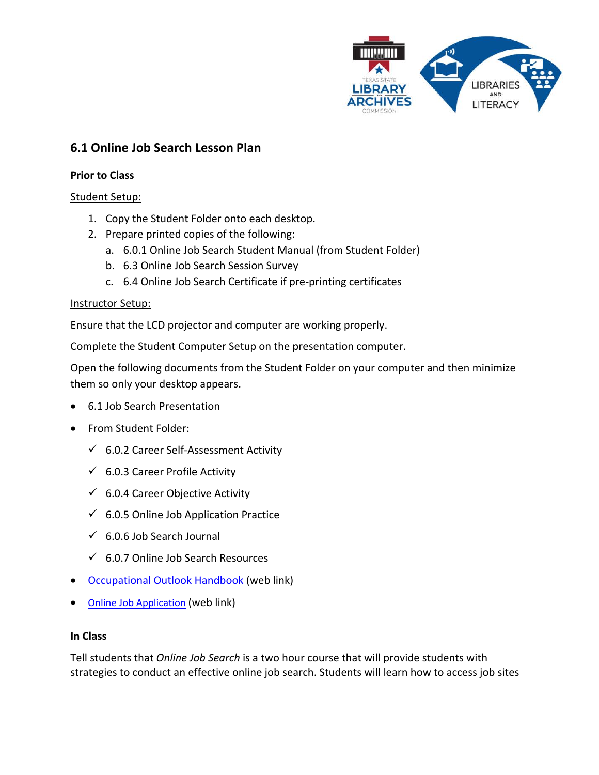

# **6.1 Online Job Search Lesson Plan**

### **Prior to Class**

# Student Setup:

- 1. Copy the Student Folder onto each desktop.
- 2. Prepare printed copies of the following:
	- a. 6.0.1 Online Job Search Student Manual (from Student Folder)
	- b. 6.3 Online Job Search Session Survey
	- c. 6.4 Online Job Search Certificate if pre-printing certificates

#### Instructor Setup:

Ensure that the LCD projector and computer are working properly.

Complete the Student Computer Setup on the presentation computer.

Open the following documents from the Student Folder on your computer and then minimize them so only your desktop appears.

- 6.1 Job Search Presentation
- From Student Folder:
	- $6.0.2$  Career Self-Assessment Activity
	- $6.0.3$  Career Profile Activity
	- $6.0.4$  Career Objective Activity
	- $6.0.5$  Online Job Application Practice
	- $6.0.6$  Job Search Journal
	- $6.0.7$  Online Job Search Resources
- [Occupational Outlook Handbook](http://www.bls.gov/ooh) (web link)
- Online Job Application (web link)

#### **In Class**

Tell students that *Online Job Search* is a two hour course that will provide students with strategies to conduct an effective online job search. Students will learn how to access job sites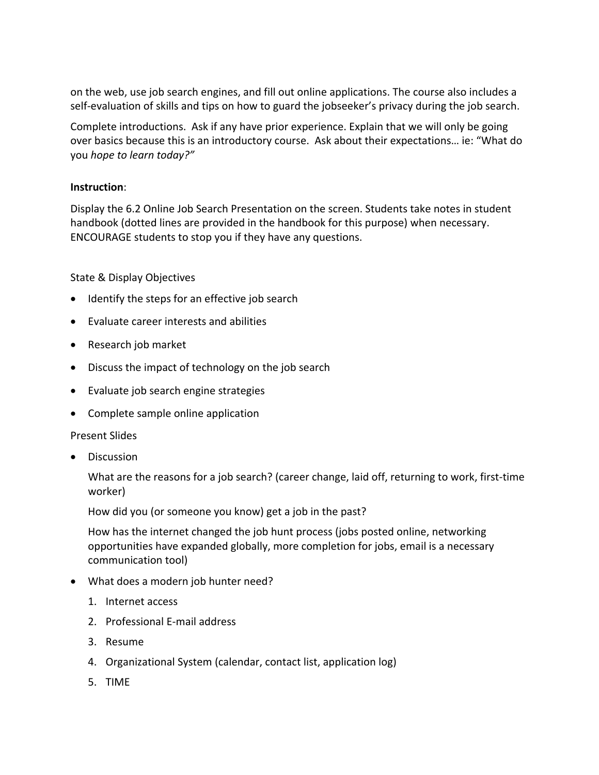on the web, use job search engines, and fill out online applications. The course also includes a self-evaluation of skills and tips on how to guard the jobseeker's privacy during the job search.

Complete introductions. Ask if any have prior experience. Explain that we will only be going over basics because this is an introductory course. Ask about their expectations… ie: "What do you *hope to learn today?"*

# **Instruction**:

Display the 6.2 Online Job Search Presentation on the screen. Students take notes in student handbook (dotted lines are provided in the handbook for this purpose) when necessary. ENCOURAGE students to stop you if they have any questions.

State & Display Objectives

- Identify the steps for an effective job search
- Evaluate career interests and abilities
- Research job market
- Discuss the impact of technology on the job search
- Evaluate job search engine strategies
- Complete sample online application

#### Present Slides

• Discussion

What are the reasons for a job search? (career change, laid off, returning to work, first-time worker)

How did you (or someone you know) get a job in the past?

How has the internet changed the job hunt process (jobs posted online, networking opportunities have expanded globally, more completion for jobs, email is a necessary communication tool)

- What does a modern job hunter need?
	- 1. Internet access
	- 2. Professional E-mail address
	- 3. Resume
	- 4. Organizational System (calendar, contact list, application log)
	- 5. TIME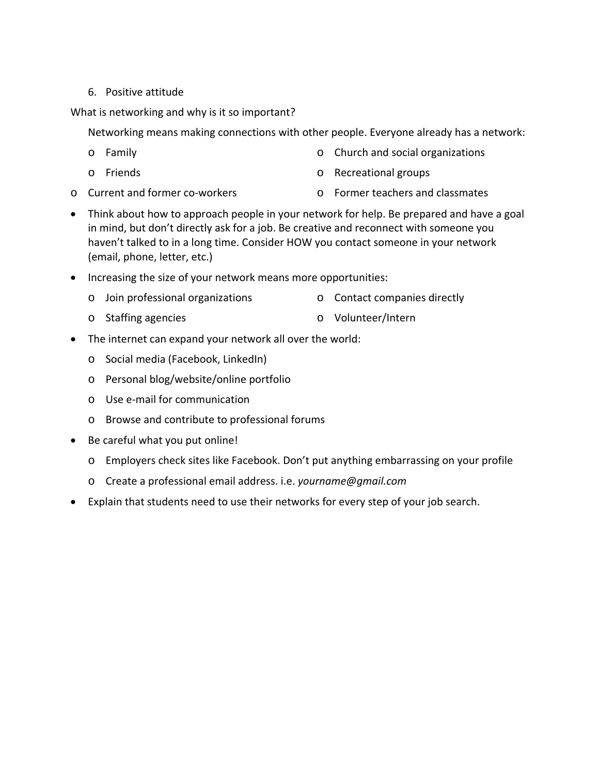# 6. Positive attitude

What is networking and why is it so important?

Networking means making connections with other people. Everyone already has a network:

- o Family
- o Friends
- o Church and social organizations
- o Recreational groups
- o Current and former co-workers o Former teachers and classmates
- Think about how to approach people in your network for help. Be prepared and have a goal in mind, but don't directly ask for a job. Be creative and reconnect with someone you haven't talked to in a long time. Consider HOW you contact someone in your network (email, phone, letter, etc.)
- Increasing the size of your network means more opportunities:
	- o Join professional organizations o Contact companies directly
	- o Staffing agencies o Volunteer/Intern
- The internet can expand your network all over the world:
	- o Social media (Facebook, LinkedIn)
	- o Personal blog/website/online portfolio
	- o Use e-mail for communication
	- o Browse and contribute to professional forums
- Be careful what you put online!
	- o Employers check sites like Facebook. Don't put anything embarrassing on your profile
	- o Create a professional email address. i.e. *yourname@gmail.com*
- Explain that students need to use their networks for every step of your job search.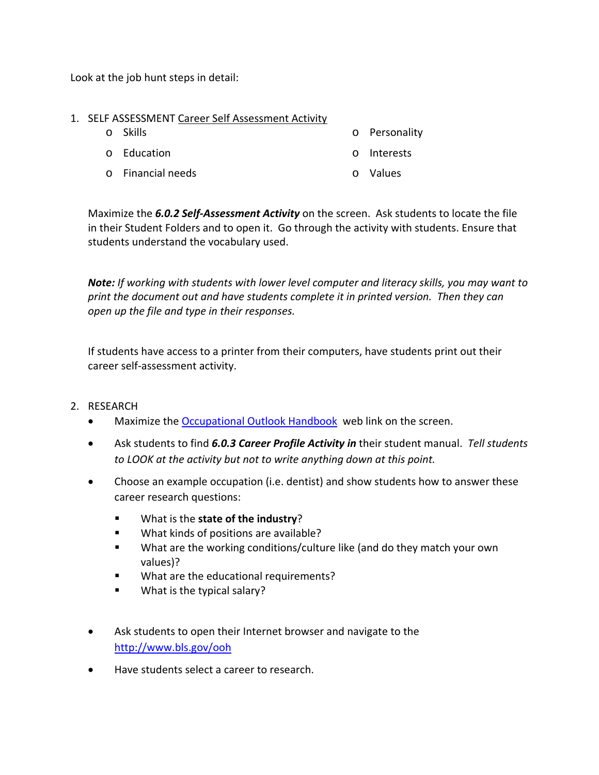Look at the job hunt steps in detail:

### 1. SELF ASSESSMENT Career Self Assessment Activity

o Skills

o Personality

- o Education
- o Financial needs
- o Interests
- o Values

Maximize the *6.0.2 Self-Assessment Activity* on the screen. Ask students to locate the file in their Student Folders and to open it. Go through the activity with students. Ensure that students understand the vocabulary used.

*Note: If working with students with lower level computer and literacy skills, you may want to print the document out and have students complete it in printed version. Then they can open up the file and type in their responses.* 

If students have access to a printer from their computers, have students print out their career self-assessment activity.

- 2. RESEARCH
	- Maximize th[e Occupational Outlook Handbook](http://www.bls.gov/ooh) web link on the screen.
	- Ask students to find *6.0.3 Career Profile Activity in* their student manual. *Tell students to LOOK at the activity but not to write anything down at this point.*
	- Choose an example occupation (i.e. dentist) and show students how to answer these career research questions:
		- What is the **state of the industry**?
		- **What kinds of positions are available?**
		- What are the working conditions/culture like (and do they match your own values)?
		- What are the educational requirements?
		- What is the typical salary?
	- Ask students to open their Internet browser and navigate to the <http://www.bls.gov/ooh>
	- Have students select a career to research.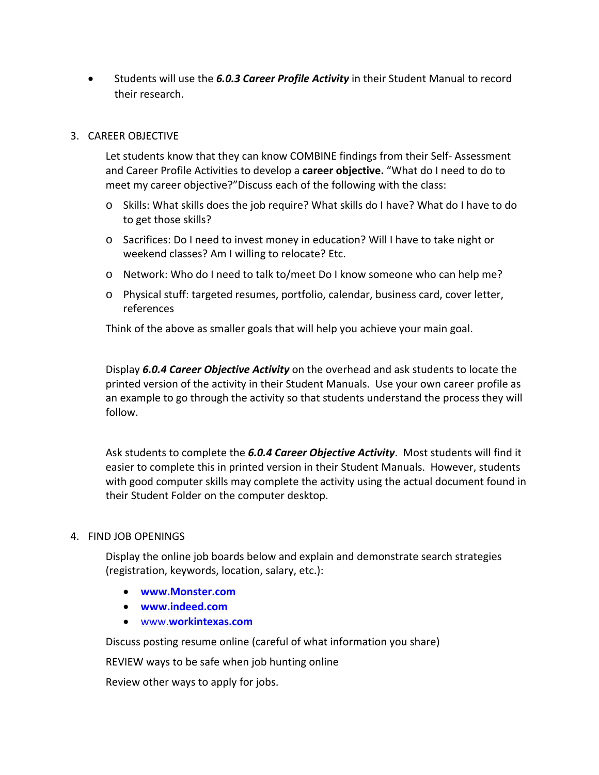• Students will use the *6.0.3 Career Profile Activity* in their Student Manual to record their research.

# 3. CAREER OBJECTIVE

Let students know that they can know COMBINE findings from their Self- Assessment and Career Profile Activities to develop a **career objective.** "What do I need to do to meet my career objective?"Discuss each of the following with the class:

- o Skills: What skills does the job require? What skills do I have? What do I have to do to get those skills?
- o Sacrifices: Do I need to invest money in education? Will I have to take night or weekend classes? Am I willing to relocate? Etc.
- o Network: Who do I need to talk to/meet Do I know someone who can help me?
- o Physical stuff: targeted resumes, portfolio, calendar, business card, cover letter, references

Think of the above as smaller goals that will help you achieve your main goal.

Display *6.0.4 Career Objective Activity* on the overhead and ask students to locate the printed version of the activity in their Student Manuals. Use your own career profile as an example to go through the activity so that students understand the process they will follow.

Ask students to complete the *6.0.4 Career Objective Activity*. Most students will find it easier to complete this in printed version in their Student Manuals. However, students with good computer skills may complete the activity using the actual document found in their Student Folder on the computer desktop.

#### 4. FIND JOB OPENINGS

Display the online job boards below and explain and demonstrate search strategies (registration, keywords, location, salary, etc.):

- **[www.Monster.com](http://www.monster.com/)**
- **[www.indeed.com](http://www.indeed.com/)**
- www.**[workintexas.com](http://www.workintexas.com/)**

Discuss posting resume online (careful of what information you share)

REVIEW ways to be safe when job hunting online

Review other ways to apply for jobs.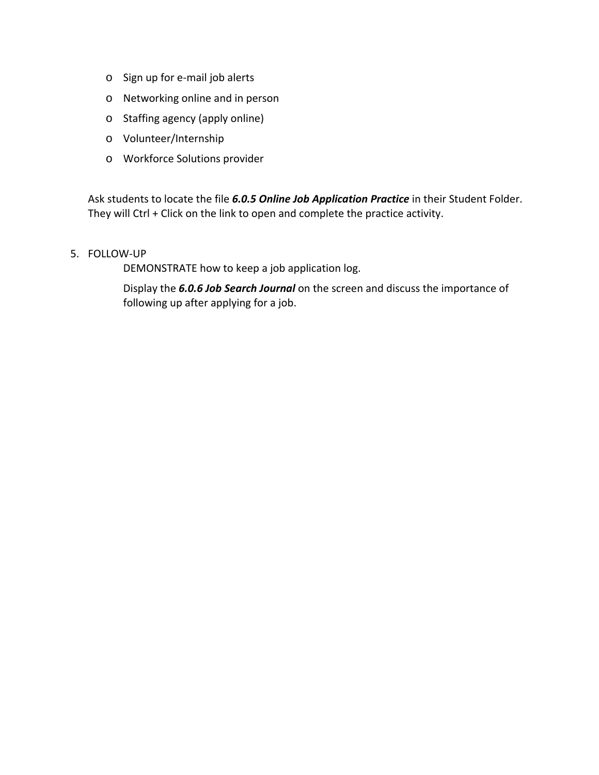- o Sign up for e-mail job alerts
- o Networking online and in person
- o Staffing agency (apply online)
- o Volunteer/Internship
- o Workforce Solutions provider

Ask students to locate the file *6.0.5 Online Job Application Practice* in their Student Folder. They will Ctrl + Click on the link to open and complete the practice activity.

#### 5. FOLLOW-UP

DEMONSTRATE how to keep a job application log.

Display the *6.0.6 Job Search Journal* on the screen and discuss the importance of following up after applying for a job.